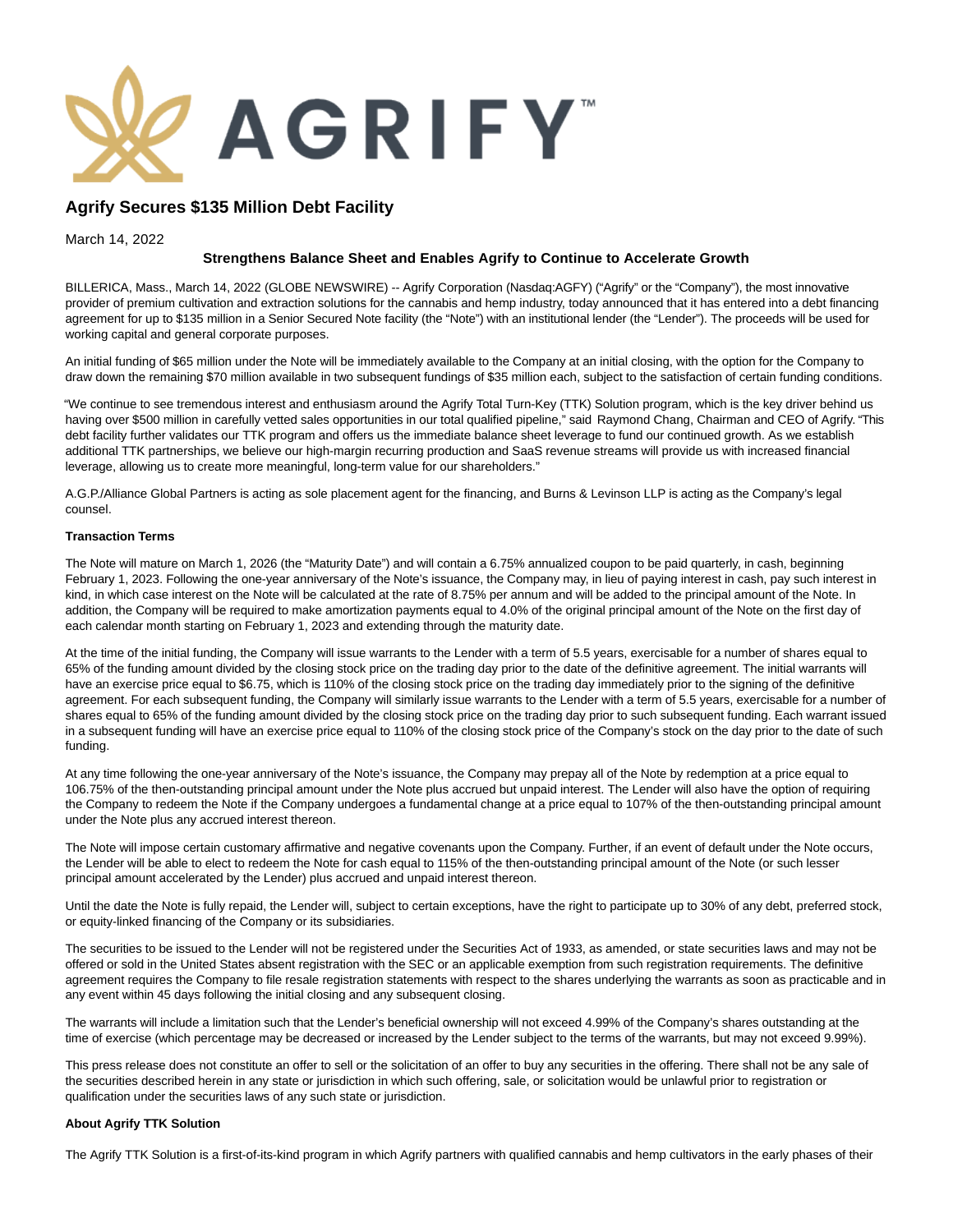

# **Agrify Secures \$135 Million Debt Facility**

March 14, 2022

# **Strengthens Balance Sheet and Enables Agrify to Continue to Accelerate Growth**

BILLERICA, Mass., March 14, 2022 (GLOBE NEWSWIRE) -- Agrify Corporation (Nasdaq:AGFY) ("Agrify" or the "Company"), the most innovative provider of premium cultivation and extraction solutions for the cannabis and hemp industry, today announced that it has entered into a debt financing agreement for up to \$135 million in a Senior Secured Note facility (the "Note") with an institutional lender (the "Lender"). The proceeds will be used for working capital and general corporate purposes.

An initial funding of \$65 million under the Note will be immediately available to the Company at an initial closing, with the option for the Company to draw down the remaining \$70 million available in two subsequent fundings of \$35 million each, subject to the satisfaction of certain funding conditions.

"We continue to see tremendous interest and enthusiasm around the Agrify Total Turn-Key (TTK) Solution program, which is the key driver behind us having over \$500 million in carefully vetted sales opportunities in our total qualified pipeline," said Raymond Chang, Chairman and CEO of Agrify. "This debt facility further validates our TTK program and offers us the immediate balance sheet leverage to fund our continued growth. As we establish additional TTK partnerships, we believe our high-margin recurring production and SaaS revenue streams will provide us with increased financial leverage, allowing us to create more meaningful, long-term value for our shareholders."

A.G.P./Alliance Global Partners is acting as sole placement agent for the financing, and Burns & Levinson LLP is acting as the Company's legal counsel.

### **Transaction Terms**

The Note will mature on March 1, 2026 (the "Maturity Date") and will contain a 6.75% annualized coupon to be paid quarterly, in cash, beginning February 1, 2023. Following the one-year anniversary of the Note's issuance, the Company may, in lieu of paying interest in cash, pay such interest in kind, in which case interest on the Note will be calculated at the rate of 8.75% per annum and will be added to the principal amount of the Note. In addition, the Company will be required to make amortization payments equal to 4.0% of the original principal amount of the Note on the first day of each calendar month starting on February 1, 2023 and extending through the maturity date.

At the time of the initial funding, the Company will issue warrants to the Lender with a term of 5.5 years, exercisable for a number of shares equal to 65% of the funding amount divided by the closing stock price on the trading day prior to the date of the definitive agreement. The initial warrants will have an exercise price equal to \$6.75, which is 110% of the closing stock price on the trading day immediately prior to the signing of the definitive agreement. For each subsequent funding, the Company will similarly issue warrants to the Lender with a term of 5.5 years, exercisable for a number of shares equal to 65% of the funding amount divided by the closing stock price on the trading day prior to such subsequent funding. Each warrant issued in a subsequent funding will have an exercise price equal to 110% of the closing stock price of the Company's stock on the day prior to the date of such funding.

At any time following the one-year anniversary of the Note's issuance, the Company may prepay all of the Note by redemption at a price equal to 106.75% of the then-outstanding principal amount under the Note plus accrued but unpaid interest. The Lender will also have the option of requiring the Company to redeem the Note if the Company undergoes a fundamental change at a price equal to 107% of the then-outstanding principal amount under the Note plus any accrued interest thereon.

The Note will impose certain customary affirmative and negative covenants upon the Company. Further, if an event of default under the Note occurs, the Lender will be able to elect to redeem the Note for cash equal to 115% of the then-outstanding principal amount of the Note (or such lesser principal amount accelerated by the Lender) plus accrued and unpaid interest thereon.

Until the date the Note is fully repaid, the Lender will, subject to certain exceptions, have the right to participate up to 30% of any debt, preferred stock, or equity-linked financing of the Company or its subsidiaries.

The securities to be issued to the Lender will not be registered under the Securities Act of 1933, as amended, or state securities laws and may not be offered or sold in the United States absent registration with the SEC or an applicable exemption from such registration requirements. The definitive agreement requires the Company to file resale registration statements with respect to the shares underlying the warrants as soon as practicable and in any event within 45 days following the initial closing and any subsequent closing.

The warrants will include a limitation such that the Lender's beneficial ownership will not exceed 4.99% of the Company's shares outstanding at the time of exercise (which percentage may be decreased or increased by the Lender subject to the terms of the warrants, but may not exceed 9.99%).

This press release does not constitute an offer to sell or the solicitation of an offer to buy any securities in the offering. There shall not be any sale of the securities described herein in any state or jurisdiction in which such offering, sale, or solicitation would be unlawful prior to registration or qualification under the securities laws of any such state or jurisdiction.

#### **About Agrify TTK Solution**

The Agrify TTK Solution is a first-of-its-kind program in which Agrify partners with qualified cannabis and hemp cultivators in the early phases of their